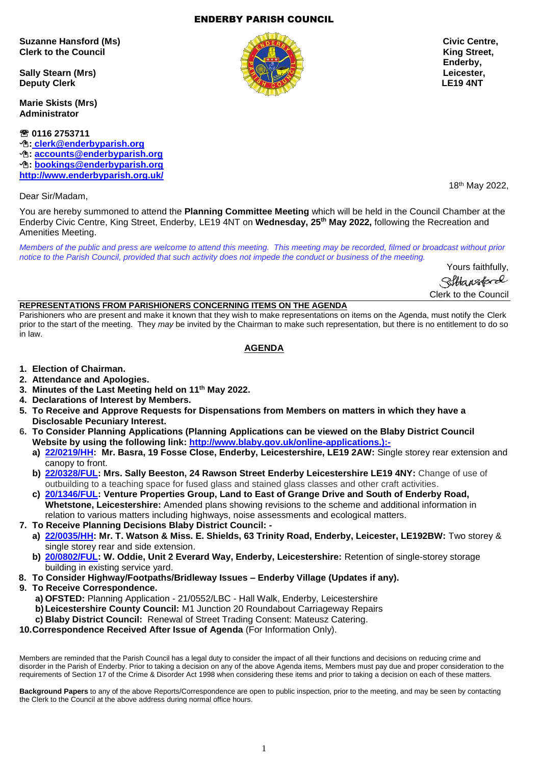1

#### ENDERBY PARISH COUNCIL

**Suzanne Hansford (Ms) Civic Centre, Clerk to the Council Clerk to the Council Clerk of the Council Clerk of the Council Clerk of the Council Clerk** 

**Sally Stearn (Mrs) Leicester, Deputy Clerk LE19 4NT** 

**Marie Skists (Mrs) Administrator**

 **0116 2753711 : [clerk@enderbyparish.org](mailto:%20clerk@enderbyparish.org) : [accounts@enderbyparish.org](mailto:accounts@enderbyparish.org) : [bookings@enderbyparish.org](mailto:bookings@enderbyparish.org) <http://www.enderbyparish.org.uk/>**

Dear Sir/Madam,

You are hereby summoned to attend the **Planning Committee Meeting** which will be held in the Council Chamber at the Enderby Civic Centre, King Street, Enderby, LE19 4NT on **Wednesday, 25th May 2022,** following the Recreation and Amenities Meeting.

*Members of the public and press are welcome to attend this meeting. This meeting may be recorded, filmed or broadcast without prior notice to the Parish Council, provided that such activity does not impede the conduct or business of the meeting.*

> Yours faithfully, Sittansford Clerk to the Council

#### **REPRESENTATIONS FROM PARISHIONERS CONCERNING ITEMS ON THE AGENDA**

Parishioners who are present and make it known that they wish to make representations on items on the Agenda, must notify the Clerk prior to the start of the meeting. They *may* be invited by the Chairman to make such representation, but there is no entitlement to do so in law.

## **AGENDA**

- **1. Election of Chairman.**
- **2. Attendance and Apologies.**
- **3. Minutes of the Last Meeting held on 11th May 2022.**
- **4. Declarations of Interest by Members.**
- **5. To Receive and Approve Requests for Dispensations from Members on matters in which they have a Disclosable Pecuniary Interest.**
- **6. To Consider Planning Applications (Planning Applications can be viewed on the Blaby District Council Website by using the following link: [http://www.blaby.gov.uk/online-applications.\):](http://www.blaby.gov.uk/online-applications.):-)**
	- **a) [22/0219/HH:](https://pa.blaby.gov.uk/online-applications/applicationDetails.do?activeTab=documents&keyVal=R8DFXRCYJLA00) Mr. Basra, 19 Fosse Close, Enderby, Leicestershire, LE19 2AW:** Single storey rear extension and canopy to front.
	- **b) [22/0328/FUL:](https://pa.blaby.gov.uk/online-applications/applicationDetails.do?activeTab=documents&keyVal=R9K9LICYJUF00) Mrs. Sally Beeston, 24 Rawson Street Enderby Leicestershire LE19 4NY:** Change of use of outbuilding to a teaching space for fused glass and stained glass classes and other craft activities.
	- **c) [20/1346/FUL:](https://pa.blaby.gov.uk/online-applications/applicationDetails.do?activeTab=documents&keyVal=QK8XJZCY07R00) Venture Properties Group, Land to East of Grange Drive and South of Enderby Road, Whetstone, Leicestershire:** Amended plans showing revisions to the scheme and additional information in relation to various matters including highways, noise assessments and ecological matters.
- **7. To Receive Planning Decisions Blaby District Council:** 
	- **a) [22/0035/HH:](https://pa.blaby.gov.uk/online-applications/applicationDetails.do?activeTab=documents&keyVal=R5LS2PCY05Y00) Mr. T. Watson & Miss. E. Shields, 63 Trinity Road, Enderby, Leicester, LE192BW:** Two storey & single storey rear and side extension.
	- **b) [20/0802/FUL:](https://pa.blaby.gov.uk/online-applications/applicationDetails.do?activeTab=documents&keyVal=QEP0VKCY01400) W. Oddie, Unit 2 Everard Way, Enderby, Leicestershire:** Retention of single-storey storage building in existing service yard.
- **8. To Consider Highway/Footpaths/Bridleway Issues – Enderby Village (Updates if any).**
- **9. To Receive Correspondence.**
	- **a) OFSTED:** Planning Application 21/0552/LBC Hall Walk, Enderby, Leicestershire
	- **b)Leicestershire County Council:** M1 Junction 20 Roundabout Carriageway Repairs
	- **c) Blaby District Council:** Renewal of Street Trading Consent: Mateusz Catering.
- **10.Correspondence Received After Issue of Agenda** (For Information Only).

Members are reminded that the Parish Council has a legal duty to consider the impact of all their functions and decisions on reducing crime and disorder in the Parish of Enderby. Prior to taking a decision on any of the above Agenda items, Members must pay due and proper consideration to the requirements of Section 17 of the Crime & Disorder Act 1998 when considering these items and prior to taking a decision on each of these matters.

**Background Papers** to any of the above Reports/Correspondence are open to public inspection, prior to the meeting, and may be seen by contacting the Clerk to the Council at the above address during normal office hours.



18th May 2022,